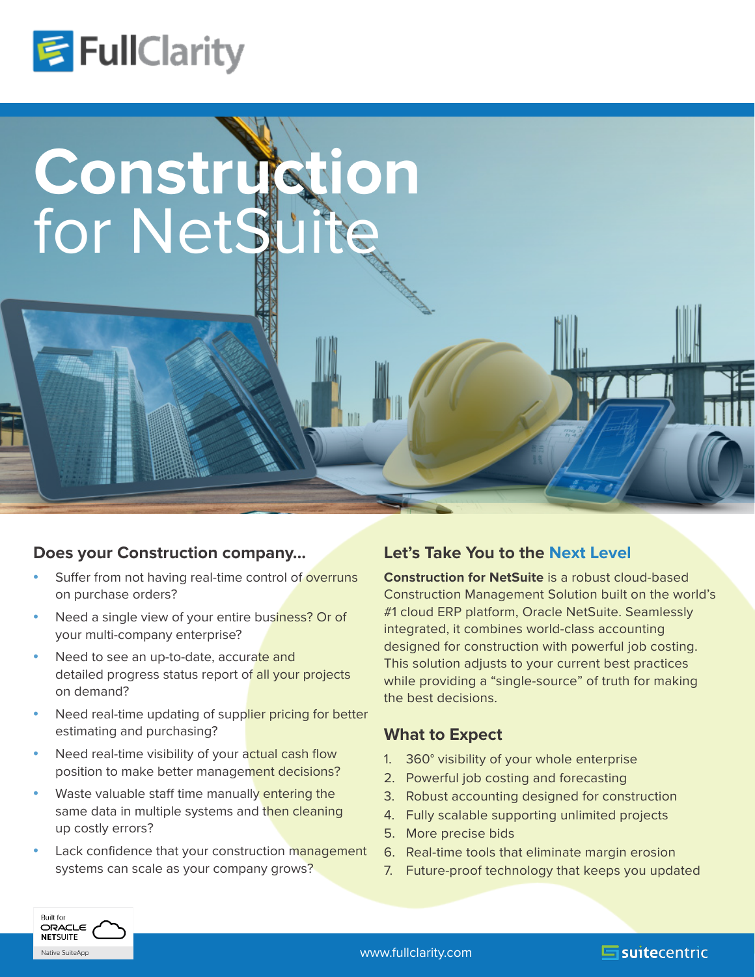



## **Does your Construction company…**

- Suffer from not having real-time control of overruns on purchase orders?
- Need a single view of your entire business? Or of your multi-company enterprise?
- Need to see an up-to-date, accurate and detailed progress status report of all your projects on demand?
- Need real-time updating of supplier pricing for better estimating and purchasing?
- Need real-time visibility of your actual cash flow position to make better management decisions?
- Waste valuable staff time manually entering the same data in multiple systems and then cleaning up costly errors?
- Lack confidence that your construction management systems can scale as your company grows?

## **Let's Take You to the Next Level**

**Construction for NetSuite** is a robust cloud-based Construction Management Solution built on the world's #1 cloud ERP platform, Oracle NetSuite. Seamlessly integrated, it combines world-class accounting designed for construction with powerful job costing. This solution adjusts to your current best practices while providing a "single-source" of truth for making the best decisions.

## **What to Expect**

- 1. 360° visibility of your whole enterprise
- 2. Powerful job costing and forecasting
- 3. Robust accounting designed for construction
- 4. Fully scalable supporting unlimited projects
- 5. More precise bids
- 6. Real-time tools that eliminate margin erosion
- 7. Future-proof technology that keeps you updated

 $\blacksquare$ suitecentric